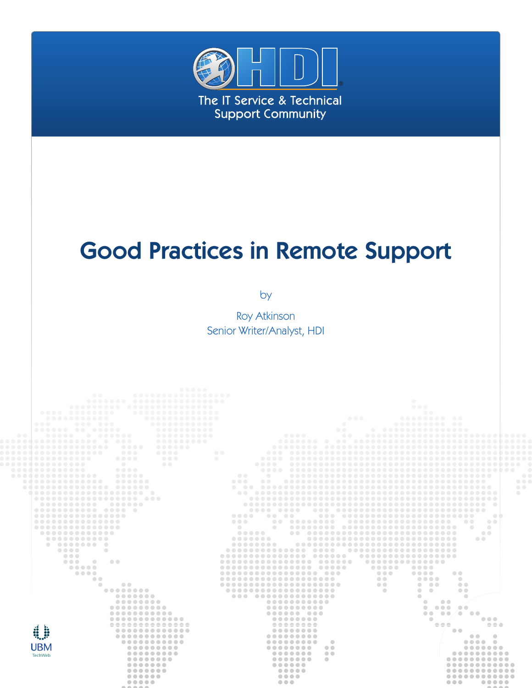

# Good Practices in Remote Support

by

Roy Atkinson Senior Writer/Analyst, HDI

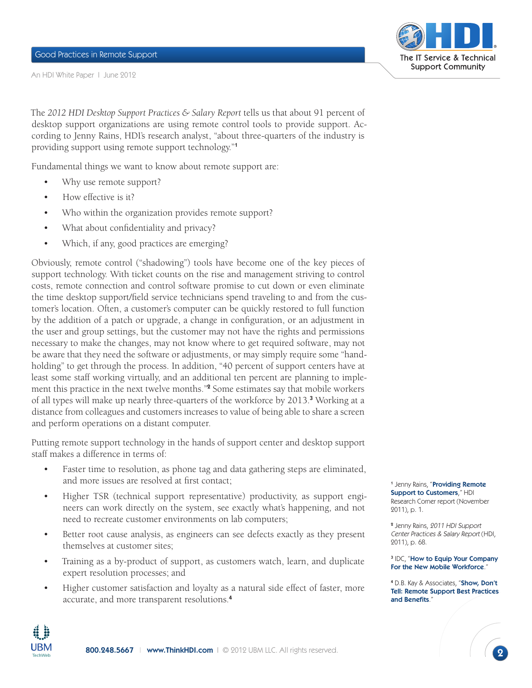An HDI White Paper I June 2012



The *2012 HDI Desktop Support Practices & Salary Report* tells us that about 91 percent of desktop support organizations are using remote control tools to provide support. According to Jenny Rains, HDI's research analyst, "about three-quarters of the industry is providing support using remote support technology."<sup>1</sup>

Fundamental things we want to know about remote support are:

- Why use remote support?
- How effective is it?
- Who within the organization provides remote support?
- What about confidentiality and privacy?
- Which, if any, good practices are emerging?

Obviously, remote control ("shadowing") tools have become one of the key pieces of support technology. With ticket counts on the rise and management striving to control costs, remote connection and control software promise to cut down or even eliminate the time desktop support/field service technicians spend traveling to and from the customer's location. Often, a customer's computer can be quickly restored to full function by the addition of a patch or upgrade, a change in configuration, or an adjustment in the user and group settings, but the customer may not have the rights and permissions necessary to make the changes, may not know where to get required software, may not be aware that they need the software or adjustments, or may simply require some "handholding" to get through the process. In addition, "40 percent of support centers have at least some staff working virtually, and an additional ten percent are planning to implement this practice in the next twelve months."<sup>2</sup> Some estimates say that mobile workers of all types will make up nearly three-quarters of the workforce by 2013.<sup>3</sup> Working at a distance from colleagues and customers increases to value of being able to share a screen and perform operations on a distant computer.

Putting remote support technology in the hands of support center and desktop support staff makes a difference in terms of:

- Faster time to resolution, as phone tag and data gathering steps are eliminated, and more issues are resolved at first contact;
- • Higher TSR (technical support representative) productivity, as support engineers can work directly on the system, see exactly what's happening, and not need to recreate customer environments on lab computers;
- Better root cause analysis, as engineers can see defects exactly as they present themselves at customer sites;
- Training as a by-product of support, as customers watch, learn, and duplicate expert resolution processes; and
- Higher customer satisfaction and loyalty as a natural side effect of faster, more accurate, and more transparent resolutions.<sup>4</sup>

<sup>1</sup> Jenny Rains, "**Providing Remote** [Support to Customers](http://www.thinkhdi.com/~/media/HDICorp/Files/Research-Corner/RC_RemoteSupport_Nov2011.pdf)," HDI Research Corner report (November 2011), p. 1.

2 Jenny Rains, 2011 HDI Support Center Practices & Salary Report (HDI, 2011), p. 68.

#### <sup>3</sup> IDC, "**How to Equip Your Company** [For the New Mobile Workforce](http://www.gotomypc.com/remote_access/images/pdf/How_to_Equip_Your_Company_for_the_New_Mobile_Workforce.pdf)."

<sup>4</sup> D.B. Kay & Associates, "**Show, Don't** [Tell: Remote Support Best Practices](http://www.dbkay.com/content/DBKay_RemoteSupportBestPractices&Benefits_E_HighRES.pdf)  [and Benefits](http://www.dbkay.com/content/DBKay_RemoteSupportBestPractices&Benefits_E_HighRES.pdf)."

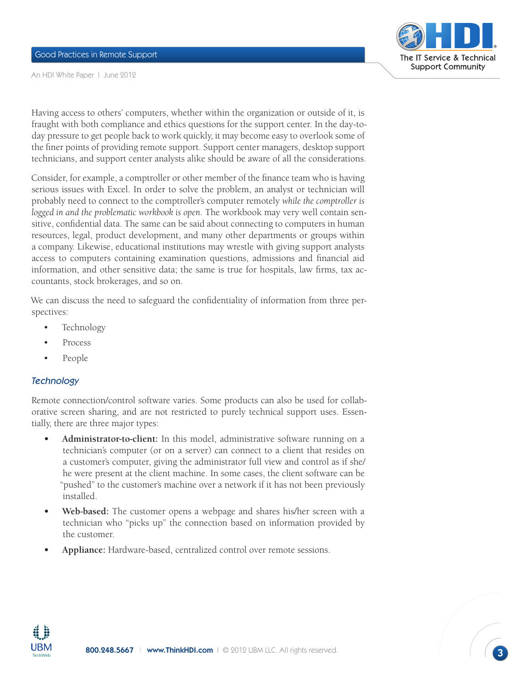

An HDI White Paper I June 2012

Having access to others' computers, whether within the organization or outside of it, is fraught with both compliance and ethics questions for the support center. In the day-today pressure to get people back to work quickly, it may become easy to overlook some of the finer points of providing remote support. Support center managers, desktop support technicians, and support center analysts alike should be aware of all the considerations.

Consider, for example, a comptroller or other member of the finance team who is having serious issues with Excel. In order to solve the problem, an analyst or technician will probably need to connect to the comptroller's computer remotely *while the comptroller is logged in and the problematic workbook is open.* The workbook may very well contain sensitive, confidential data. The same can be said about connecting to computers in human resources, legal, product development, and many other departments or groups within a company. Likewise, educational institutions may wrestle with giving support analysts access to computers containing examination questions, admissions and financial aid information, and other sensitive data; the same is true for hospitals, law firms, tax accountants, stock brokerages, and so on.

We can discuss the need to safeguard the confidentiality of information from three perspectives:

- Technology
- **Process**
- People

#### **Technology**

Remote connection/control software varies. Some products can also be used for collaborative screen sharing, and are not restricted to purely technical support uses. Essentially, there are three major types:

- Administrator-to-client: In this model, administrative software running on a technician's computer (or on a server) can connect to a client that resides on a customer's computer, giving the administrator full view and control as if she/ he were present at the client machine. In some cases, the client software can be "pushed" to the customer's machine over a network if it has not been previously installed.
- **Web-based:** The customer opens a webpage and shares his/her screen with a technician who "picks up" the connection based on information provided by the customer.
- Appliance: Hardware-based, centralized control over remote sessions.

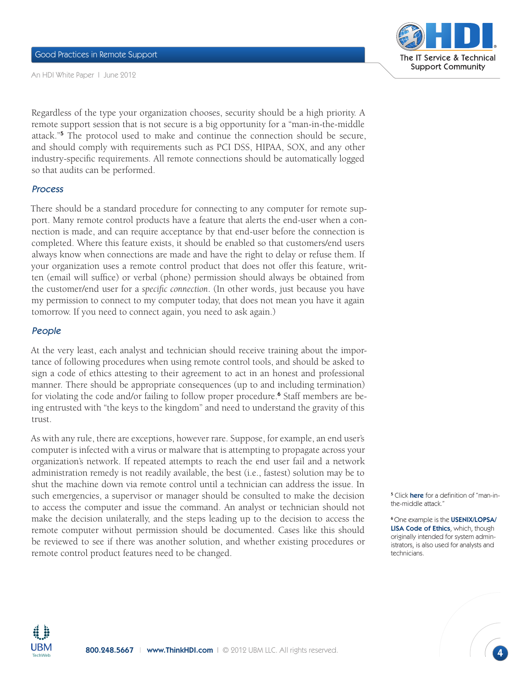

An HDI White Paper I June 2012

Regardless of the type your organization chooses, security should be a high priority. A remote support session that is not secure is a big opportunity for a "man-in-the-middle attack."<sup>5</sup> The protocol used to make and continue the connection should be secure, and should comply with requirements such as PCI DSS, HIPAA, SOX, and any other industry-specific requirements. All remote connections should be automatically logged so that audits can be performed.

# Process

There should be a standard procedure for connecting to any computer for remote support. Many remote control products have a feature that alerts the end-user when a connection is made, and can require acceptance by that end-user before the connection is completed. Where this feature exists, it should be enabled so that customers/end users always know when connections are made and have the right to delay or refuse them. If your organization uses a remote control product that does not offer this feature, written (email will suffice) or verbal (phone) permission should always be obtained from the customer/end user for a *specific connection*. (In other words, just because you have my permission to connect to my computer today, that does not mean you have it again tomorrow. If you need to connect again, you need to ask again.)

# People

At the very least, each analyst and technician should receive training about the importance of following procedures when using remote control tools, and should be asked to sign a code of ethics attesting to their agreement to act in an honest and professional manner. There should be appropriate consequences (up to and including termination) for violating the code and/or failing to follow proper procedure.<sup>6</sup> Staff members are being entrusted with "the keys to the kingdom" and need to understand the gravity of this trust.

As with any rule, there are exceptions, however rare. Suppose, for example, an end user's computer is infected with a virus or malware that is attempting to propagate across your organization's network. If repeated attempts to reach the end user fail and a network administration remedy is not readily available, the best (i.e., fastest) solution may be to shut the machine down via remote control until a technician can address the issue. In such emergencies, a supervisor or manager should be consulted to make the decision to access the computer and issue the command. An analyst or technician should not make the decision unilaterally, and the steps leading up to the decision to access the remote computer without permission should be documented. Cases like this should be reviewed to see if there was another solution, and whether existing procedures or remote control product features need to be changed.

<sup>5</sup> Click **here** for a definition of "man-inthe-middle attack."

<sup>6</sup>One example is the [USENIX/LOPSA/](https://www.usenix.org/lisa/system-administrators-code-ethics) [LISA Code of Ethics](https://www.usenix.org/lisa/system-administrators-code-ethics), which, though originally intended for system administrators, is also used for analysts and technicians.

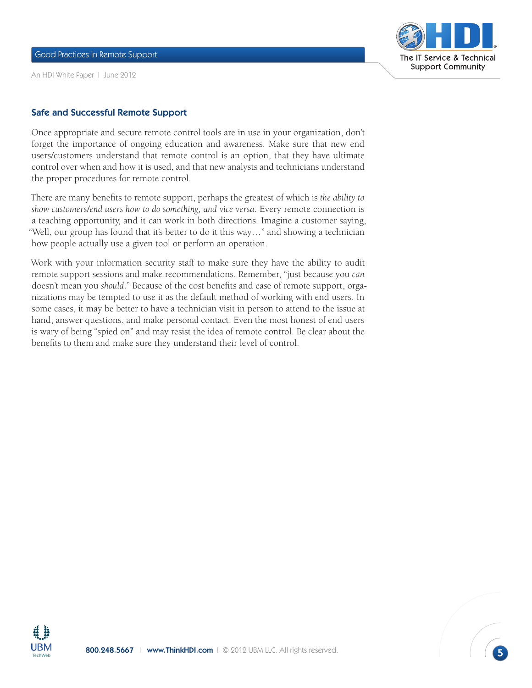Good Practices in Remote Support

An HDI White Paper I June 2012



### Safe and Successful Remote Support

Once appropriate and secure remote control tools are in use in your organization, don't forget the importance of ongoing education and awareness. Make sure that new end users/customers understand that remote control is an option, that they have ultimate control over when and how it is used, and that new analysts and technicians understand the proper procedures for remote control.

There are many benefits to remote support, perhaps the greatest of which is *the ability to show customers/end users how to do something, and vice versa*. Every remote connection is a teaching opportunity, and it can work in both directions. Imagine a customer saying, "Well, our group has found that it's better to do it this way…" and showing a technician how people actually use a given tool or perform an operation.

Work with your information security staff to make sure they have the ability to audit remote support sessions and make recommendations. Remember, "just because you *can* doesn't mean you *should*." Because of the cost benefits and ease of remote support, organizations may be tempted to use it as the default method of working with end users. In some cases, it may be better to have a technician visit in person to attend to the issue at hand, answer questions, and make personal contact. Even the most honest of end users is wary of being "spied on" and may resist the idea of remote control. Be clear about the benefits to them and make sure they understand their level of control.